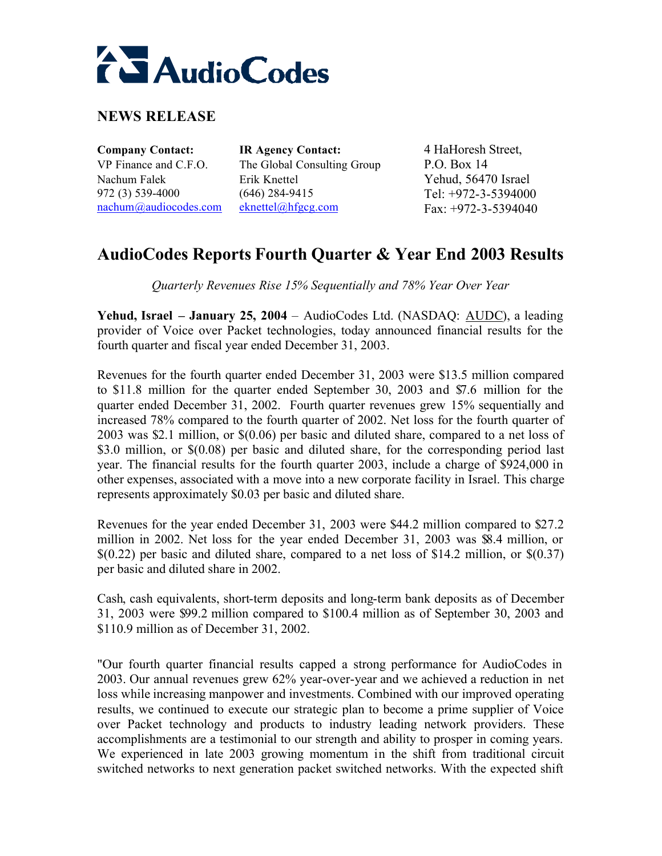# **ALAudioCodes**

## **NEWS RELEASE**

Nachum Falek 972 (3) 539-4000 nachum@audiocodes.com

**Company Contact: IR Agency Contact:** 4 HaHoresh Street, VP Finance and C.F.O. The Global Consulting Group P.O. Box 14 Erik Knettel (646) 284-9415 eknettel@hfgcg.com

Yehud, 56470 Israel Tel: +972-3-5394000 Fax: +972-3-5394040

# **AudioCodes Reports Fourth Quarter & Year End 2003 Results**

*Quarterly Revenues Rise 15% Sequentially and 78% Year Over Year*

**Yehud, Israel – January 25, 2004** – AudioCodes Ltd. (NASDAQ: AUDC), a leading provider of Voice over Packet technologies, today announced financial results for the fourth quarter and fiscal year ended December 31, 2003.

Revenues for the fourth quarter ended December 31, 2003 were \$13.5 million compared to \$11.8 million for the quarter ended September 30, 2003 and \$7.6 million for the quarter ended December 31, 2002. Fourth quarter revenues grew 15% sequentially and increased 78% compared to the fourth quarter of 2002. Net loss for the fourth quarter of 2003 was \$2.1 million, or \$(0.06) per basic and diluted share, compared to a net loss of \$3.0 million, or \$(0.08) per basic and diluted share, for the corresponding period last year. The financial results for the fourth quarter 2003, include a charge of \$924,000 in other expenses, associated with a move into a new corporate facility in Israel. This charge represents approximately \$0.03 per basic and diluted share.

Revenues for the year ended December 31, 2003 were \$44.2 million compared to \$27.2 million in 2002. Net loss for the year ended December 31, 2003 was \$8.4 million, or  $$(0.22)$  per basic and diluted share, compared to a net loss of \$14.2 million, or  $$(0.37)$ per basic and diluted share in 2002.

Cash, cash equivalents, short-term deposits and long-term bank deposits as of December 31, 2003 were \$99.2 million compared to \$100.4 million as of September 30, 2003 and \$110.9 million as of December 31, 2002.

"Our fourth quarter financial results capped a strong performance for AudioCodes in 2003. Our annual revenues grew 62% year-over-year and we achieved a reduction in net loss while increasing manpower and investments. Combined with our improved operating results, we continued to execute our strategic plan to become a prime supplier of Voice over Packet technology and products to industry leading network providers. These accomplishments are a testimonial to our strength and ability to prosper in coming years. We experienced in late 2003 growing momentum in the shift from traditional circuit switched networks to next generation packet switched networks. With the expected shift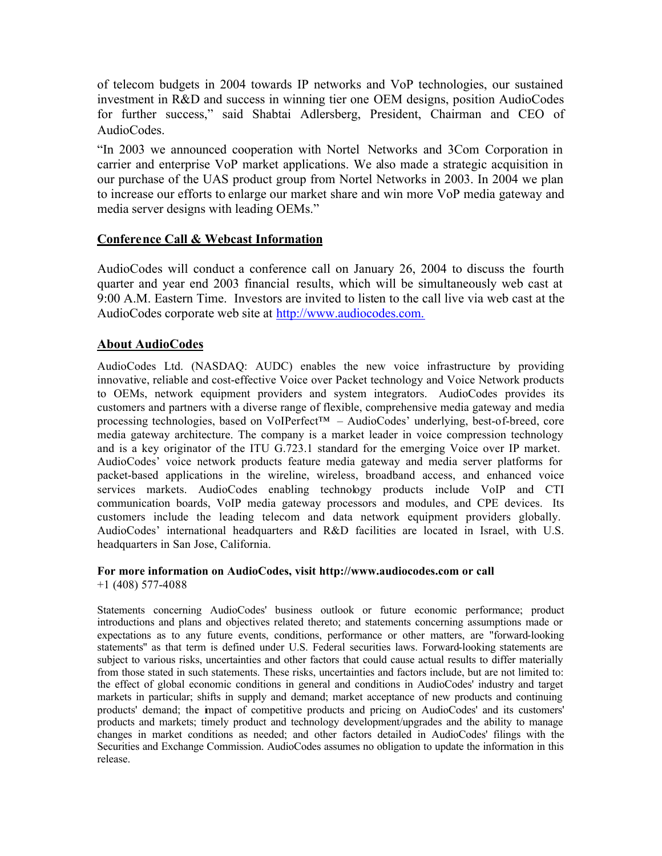of telecom budgets in 2004 towards IP networks and VoP technologies, our sustained investment in R&D and success in winning tier one OEM designs, position AudioCodes for further success," said Shabtai Adlersberg, President, Chairman and CEO of AudioCodes.

"In 2003 we announced cooperation with Nortel Networks and 3Com Corporation in carrier and enterprise VoP market applications. We also made a strategic acquisition in our purchase of the UAS product group from Nortel Networks in 2003. In 2004 we plan to increase our efforts to enlarge our market share and win more VoP media gateway and media server designs with leading OEMs."

#### **Conference Call & Webcast Information**

AudioCodes will conduct a conference call on January 26, 2004 to discuss the fourth quarter and year end 2003 financial results, which will be simultaneously web cast at 9:00 A.M. Eastern Time. Investors are invited to listen to the call live via web cast at the AudioCodes corporate web site at http://www.audiocodes.com.

#### **About AudioCodes**

AudioCodes Ltd. (NASDAQ: AUDC) enables the new voice infrastructure by providing innovative, reliable and cost-effective Voice over Packet technology and Voice Network products to OEMs, network equipment providers and system integrators. AudioCodes provides its customers and partners with a diverse range of flexible, comprehensive media gateway and media processing technologies, based on VoIPerfect™ – AudioCodes' underlying, best-of-breed, core media gateway architecture. The company is a market leader in voice compression technology and is a key originator of the ITU G.723.1 standard for the emerging Voice over IP market. AudioCodes' voice network products feature media gateway and media server platforms for packet-based applications in the wireline, wireless, broadband access, and enhanced voice services markets. AudioCodes enabling technology products include VoIP and CTI communication boards, VoIP media gateway processors and modules, and CPE devices. Its customers include the leading telecom and data network equipment providers globally. AudioCodes' international headquarters and R&D facilities are located in Israel, with U.S. headquarters in San Jose, California.

#### **For more information on AudioCodes, visit http://www.audiocodes.com or call**  +1 (408) 577-4088

Statements concerning AudioCodes' business outlook or future economic performance; product introductions and plans and objectives related thereto; and statements concerning assumptions made or expectations as to any future events, conditions, performance or other matters, are "forward-looking statements'' as that term is defined under U.S. Federal securities laws. Forward-looking statements are subject to various risks, uncertainties and other factors that could cause actual results to differ materially from those stated in such statements. These risks, uncertainties and factors include, but are not limited to: the effect of global economic conditions in general and conditions in AudioCodes' industry and target markets in particular; shifts in supply and demand; market acceptance of new products and continuing products' demand; the impact of competitive products and pricing on AudioCodes' and its customers' products and markets; timely product and technology development/upgrades and the ability to manage changes in market conditions as needed; and other factors detailed in AudioCodes' filings with the Securities and Exchange Commission. AudioCodes assumes no obligation to update the information in this release.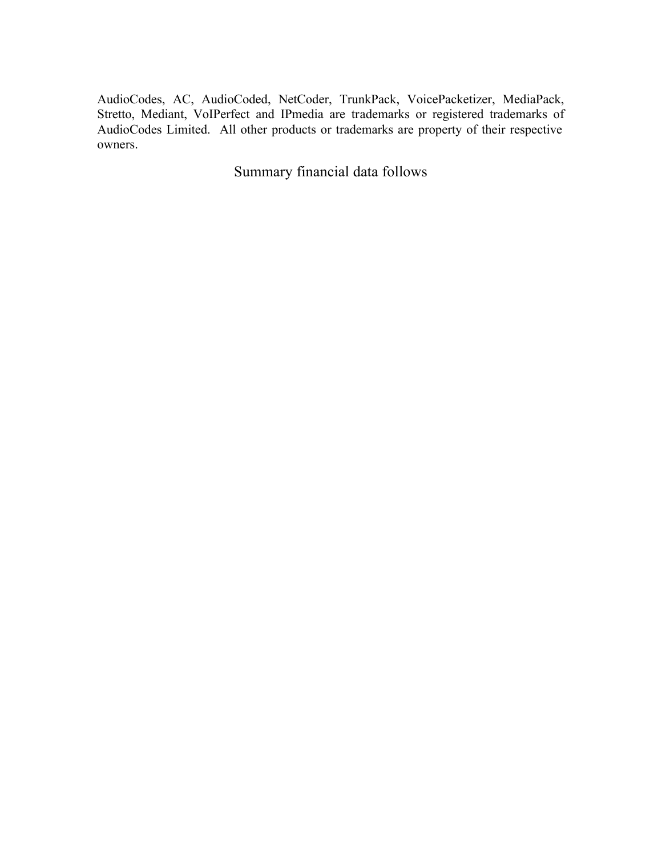AudioCodes, AC, AudioCoded, NetCoder, TrunkPack, VoicePacketizer, MediaPack, Stretto, Mediant, VoIPerfect and IPmedia are trademarks or registered trademarks of AudioCodes Limited. All other products or trademarks are property of their respective owners.

Summary financial data follows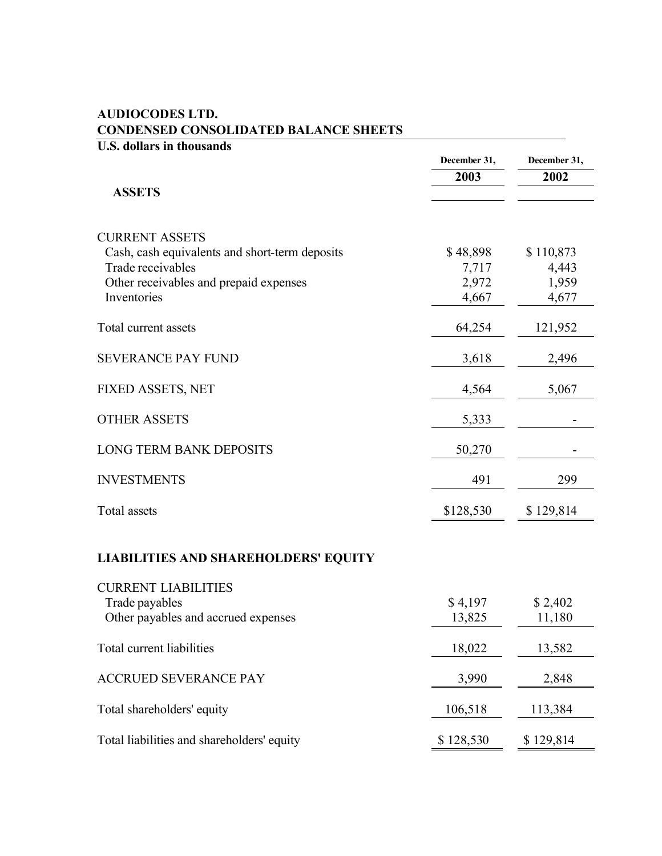| <b>U.S. dollars in thousands</b>                                                                                                                      |                                     |                                      |
|-------------------------------------------------------------------------------------------------------------------------------------------------------|-------------------------------------|--------------------------------------|
|                                                                                                                                                       | December 31,                        | December 31,                         |
|                                                                                                                                                       | 2003                                | 2002                                 |
| <b>ASSETS</b>                                                                                                                                         |                                     |                                      |
| <b>CURRENT ASSETS</b><br>Cash, cash equivalents and short-term deposits<br>Trade receivables<br>Other receivables and prepaid expenses<br>Inventories | \$48,898<br>7,717<br>2,972<br>4,667 | \$110,873<br>4,443<br>1,959<br>4,677 |
| Total current assets                                                                                                                                  | 64,254                              | 121,952                              |
| <b>SEVERANCE PAY FUND</b>                                                                                                                             | 3,618                               | 2,496                                |
| FIXED ASSETS, NET                                                                                                                                     | 4,564                               | 5,067                                |
| <b>OTHER ASSETS</b>                                                                                                                                   | 5,333                               |                                      |
| <b>LONG TERM BANK DEPOSITS</b>                                                                                                                        | 50,270                              |                                      |
| <b>INVESTMENTS</b>                                                                                                                                    | 491                                 | 299                                  |
| <b>Total</b> assets                                                                                                                                   | \$128,530                           | \$129,814                            |
| <b>LIABILITIES AND SHAREHOLDERS' EQUITY</b>                                                                                                           |                                     |                                      |
| <b>CURRENT LIABILITIES</b><br>Trade payables<br>Other payables and accrued expenses                                                                   | \$4,197<br>13,825                   | \$2,402<br>11,180                    |
| Total current liabilities                                                                                                                             | 18,022                              | 13,582                               |
| <b>ACCRUED SEVERANCE PAY</b>                                                                                                                          | 3,990                               | 2,848                                |

Total shareholders' equity 106,518 113,384

## **AUDIOCODES LTD. CONDENSED CONSOLIDATED BALANCE SHEETS**

Total liabilities and shareholders' equity \$ 128,530 \$ 129,814